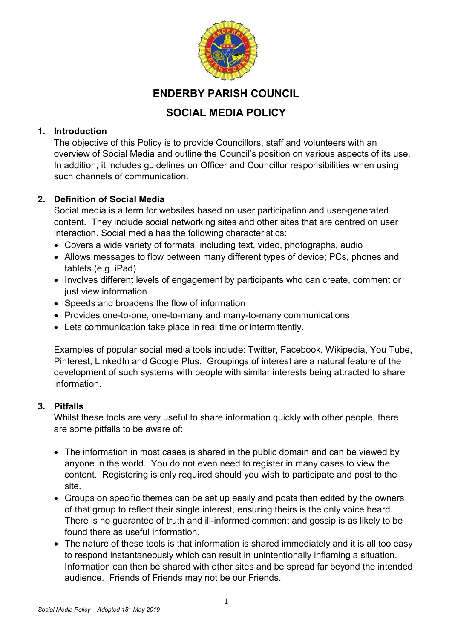

# **ENDERBY PARISH COUNCIL**

## **SOCIAL MEDIA POLICY**

#### **1. Introduction**

The objective of this Policy is to provide Councillors, staff and volunteers with an overview of Social Media and outline the Council's position on various aspects of its use. In addition, it includes guidelines on Officer and Councillor responsibilities when using such channels of communication.

### **2. Definition of Social Media**

Social media is a term for websites based on user participation and user-generated content. They include social networking sites and other sites that are centred on user interaction. Social media has the following characteristics:

- Covers a wide variety of formats, including text, video, photographs, audio
- Allows messages to flow between many different types of device; PCs, phones and tablets (e.g. iPad)
- Involves different levels of engagement by participants who can create, comment or just view information
- Speeds and broadens the flow of information
- Provides one-to-one, one-to-many and many-to-many communications
- Lets communication take place in real time or intermittently.

Examples of popular social media tools include: Twitter, Facebook, Wikipedia, You Tube, Pinterest, LinkedIn and Google Plus. Groupings of interest are a natural feature of the development of such systems with people with similar interests being attracted to share information.

#### **3. Pitfalls**

Whilst these tools are very useful to share information quickly with other people, there are some pitfalls to be aware of:

- The information in most cases is shared in the public domain and can be viewed by anyone in the world. You do not even need to register in many cases to view the content. Registering is only required should you wish to participate and post to the site.
- Groups on specific themes can be set up easily and posts then edited by the owners of that group to reflect their single interest, ensuring theirs is the only voice heard. There is no guarantee of truth and ill-informed comment and gossip is as likely to be found there as useful information.
- The nature of these tools is that information is shared immediately and it is all too easy to respond instantaneously which can result in unintentionally inflaming a situation. Information can then be shared with other sites and be spread far beyond the intended audience. Friends of Friends may not be our Friends.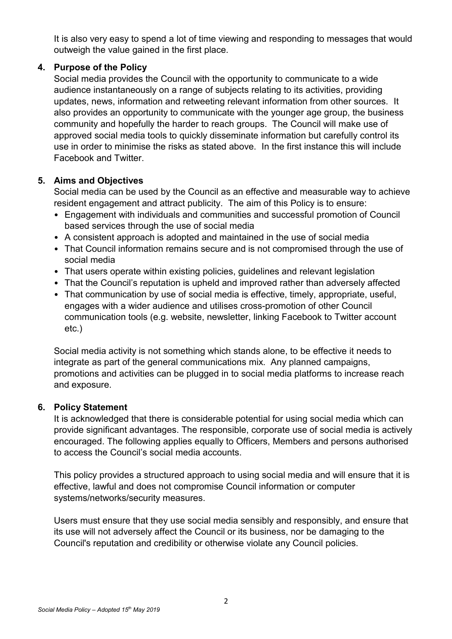It is also very easy to spend a lot of time viewing and responding to messages that would outweigh the value gained in the first place.

#### **4. Purpose of the Policy**

Social media provides the Council with the opportunity to communicate to a wide audience instantaneously on a range of subjects relating to its activities, providing updates, news, information and retweeting relevant information from other sources. It also provides an opportunity to communicate with the younger age group, the business community and hopefully the harder to reach groups. The Council will make use of approved social media tools to quickly disseminate information but carefully control its use in order to minimise the risks as stated above. In the first instance this will include Facebook and Twitter.

#### **5. Aims and Objectives**

Social media can be used by the Council as an effective and measurable way to achieve resident engagement and attract publicity. The aim of this Policy is to ensure:

- Engagement with individuals and communities and successful promotion of Council based services through the use of social media
- A consistent approach is adopted and maintained in the use of social media
- That Council information remains secure and is not compromised through the use of social media
- That users operate within existing policies, guidelines and relevant legislation
- That the Council's reputation is upheld and improved rather than adversely affected
- That communication by use of social media is effective, timely, appropriate, useful, engages with a wider audience and utilises cross-promotion of other Council communication tools (e.g. website, newsletter, linking Facebook to Twitter account etc.)

Social media activity is not something which stands alone, to be effective it needs to integrate as part of the general communications mix. Any planned campaigns, promotions and activities can be plugged in to social media platforms to increase reach and exposure.

#### **6. Policy Statement**

It is acknowledged that there is considerable potential for using social media which can provide significant advantages. The responsible, corporate use of social media is actively encouraged. The following applies equally to Officers, Members and persons authorised to access the Council's social media accounts.

This policy provides a structured approach to using social media and will ensure that it is effective, lawful and does not compromise Council information or computer systems/networks/security measures.

Users must ensure that they use social media sensibly and responsibly, and ensure that its use will not adversely affect the Council or its business, nor be damaging to the Council's reputation and credibility or otherwise violate any Council policies.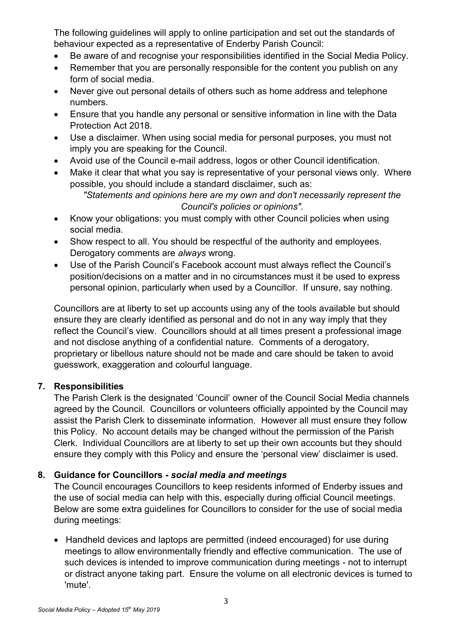The following guidelines will apply to online participation and set out the standards of behaviour expected as a representative of Enderby Parish Council:

- Be aware of and recognise your responsibilities identified in the Social Media Policy.
- Remember that you are personally responsible for the content you publish on any form of social media.
- Never give out personal details of others such as home address and telephone numbers.
- Ensure that you handle any personal or sensitive information in line with the Data Protection Act 2018.
- Use a disclaimer. When using social media for personal purposes, you must not imply you are speaking for the Council.
- Avoid use of the Council e-mail address, logos or other Council identification.
- Make it clear that what you say is representative of your personal views only. Where possible, you should include a standard disclaimer, such as:

- Know your obligations: you must comply with other Council policies when using social media.
- Show respect to all. You should be respectful of the authority and employees. Derogatory comments are *always* wrong.
- Use of the Parish Council's Facebook account must always reflect the Council's position/decisions on a matter and in no circumstances must it be used to express personal opinion, particularly when used by a Councillor. If unsure, say nothing.

Councillors are at liberty to set up accounts using any of the tools available but should ensure they are clearly identified as personal and do not in any way imply that they reflect the Council's view. Councillors should at all times present a professional image and not disclose anything of a confidential nature. Comments of a derogatory, proprietary or libellous nature should not be made and care should be taken to avoid guesswork, exaggeration and colourful language.

## **7. Responsibilities**

The Parish Clerk is the designated 'Council' owner of the Council Social Media channels agreed by the Council. Councillors or volunteers officially appointed by the Council may assist the Parish Clerk to disseminate information. However all must ensure they follow this Policy. No account details may be changed without the permission of the Parish Clerk. Individual Councillors are at liberty to set up their own accounts but they should ensure they comply with this Policy and ensure the 'personal view' disclaimer is used.

## **8. Guidance for Councillors -** *social media and meetings*

The Council encourages Councillors to keep residents informed of Enderby issues and the use of social media can help with this, especially during official Council meetings. Below are some extra guidelines for Councillors to consider for the use of social media during meetings:

 Handheld devices and laptops are permitted (indeed encouraged) for use during meetings to allow environmentally friendly and effective communication. The use of such devices is intended to improve communication during meetings - not to interrupt or distract anyone taking part. Ensure the volume on all electronic devices is turned to 'mute'.

*<sup>&</sup>quot;Statements and opinions here are my own and don't necessarily represent the Council's policies or opinions".*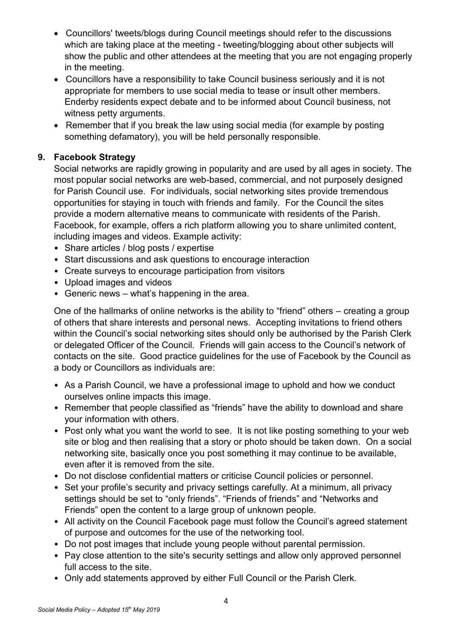- Councillors' tweets/blogs during Council meetings should refer to the discussions which are taking place at the meeting - tweeting/blogging about other subjects will show the public and other attendees at the meeting that you are not engaging properly in the meeting.
- Councillors have a responsibility to take Council business seriously and it is not appropriate for members to use social media to tease or insult other members. Enderby residents expect debate and to be informed about Council business, not witness petty arguments.
- Remember that if you break the law using social media (for example by posting something defamatory), you will be held personally responsible.

### **9. Facebook Strategy**

Social networks are rapidly growing in popularity and are used by all ages in society. The most popular social networks are web-based, commercial, and not purposely designed for Parish Council use. For individuals, social networking sites provide tremendous opportunities for staying in touch with friends and family. For the Council the sites provide a modern alternative means to communicate with residents of the Parish. Facebook, for example, offers a rich platform allowing you to share unlimited content, including images and videos. Example activity:

- Share articles / blog posts / expertise
- Start discussions and ask questions to encourage interaction
- Create surveys to encourage participation from visitors
- Upload images and videos
- Generic news what's happening in the area.

One of the hallmarks of online networks is the ability to "friend" others – creating a group of others that share interests and personal news. Accepting invitations to friend others within the Council's social networking sites should only be authorised by the Parish Clerk or delegated Officer of the Council. Friends will gain access to the Council's network of contacts on the site. Good practice guidelines for the use of Facebook by the Council as a body or Councillors as individuals are:

- As a Parish Council, we have a professional image to uphold and how we conduct ourselves online impacts this image.
- Remember that people classified as "friends" have the ability to download and share your information with others.
- Post only what you want the world to see. It is not like posting something to your web site or blog and then realising that a story or photo should be taken down. On a social networking site, basically once you post something it may continue to be available, even after it is removed from the site.
- Do not disclose confidential matters or criticise Council policies or personnel.
- Set your profile's security and privacy settings carefully. At a minimum, all privacy settings should be set to "only friends". "Friends of friends" and "Networks and Friends" open the content to a large group of unknown people.
- All activity on the Council Facebook page must follow the Council's agreed statement of purpose and outcomes for the use of the networking tool.
- Do not post images that include young people without parental permission.
- Pay close attention to the site's security settings and allow only approved personnel full access to the site.
- Only add statements approved by either Full Council or the Parish Clerk.